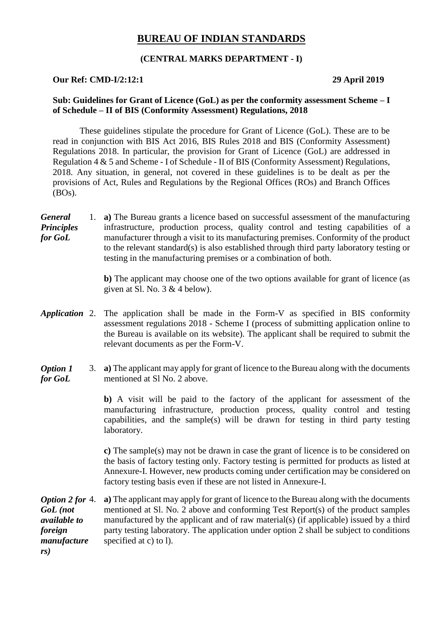# **BUREAU OF INDIAN STANDARDS**

## **(CENTRAL MARKS DEPARTMENT - I)**

#### **Our Ref: CMD-I/2:12:1 29 April 2019**

#### **Sub: Guidelines for Grant of Licence (GoL) as per the conformity assessment Scheme – I of Schedule – II of BIS (Conformity Assessment) Regulations, 2018**

These guidelines stipulate the procedure for Grant of Licence (GoL). These are to be read in conjunction with BIS Act 2016, BIS Rules 2018 and BIS (Conformity Assessment) Regulations 2018. In particular, the provision for Grant of Licence (GoL) are addressed in Regulation 4 & 5 and Scheme - I of Schedule - II of BIS (Conformity Assessment) Regulations, 2018. Any situation, in general, not covered in these guidelines is to be dealt as per the provisions of Act, Rules and Regulations by the Regional Offices (ROs) and Branch Offices (BOs).

*General Principles for GoL* 1. **a)** The Bureau grants a licence based on successful assessment of the manufacturing infrastructure, production process, quality control and testing capabilities of a manufacturer through a visit to its manufacturing premises. Conformity of the product to the relevant standard(s) is also established through third party laboratory testing or testing in the manufacturing premises or a combination of both.

> **b)** The applicant may choose one of the two options available for grant of licence (as given at Sl. No.  $3 & 4$  below).

- *Application* 2. The application shall be made in the Form-V as specified in BIS conformity assessment regulations 2018 - Scheme I (process of submitting application online to the Bureau is available on its website). The applicant shall be required to submit the relevant documents as per the Form-V.
- *Option 1 for GoL* 3. **a)** The applicant may apply for grant of licence to the Bureau along with the documents mentioned at Sl No. 2 above.

**b)** A visit will be paid to the factory of the applicant for assessment of the manufacturing infrastructure, production process, quality control and testing capabilities, and the sample(s) will be drawn for testing in third party testing laboratory.

**c)** The sample(s) may not be drawn in case the grant of licence is to be considered on the basis of factory testing only. Factory testing is permitted for products as listed at Annexure-I. However, new products coming under certification may be considered on factory testing basis even if these are not listed in Annexure-I.

*Option 2 for GoL (not available to foreign manufacture rs)* a) The applicant may apply for grant of licence to the Bureau along with the documents mentioned at Sl. No. 2 above and conforming Test Report(s) of the product samples manufactured by the applicant and of raw material(s) (if applicable) issued by a third party testing laboratory. The application under option 2 shall be subject to conditions specified at c) to l).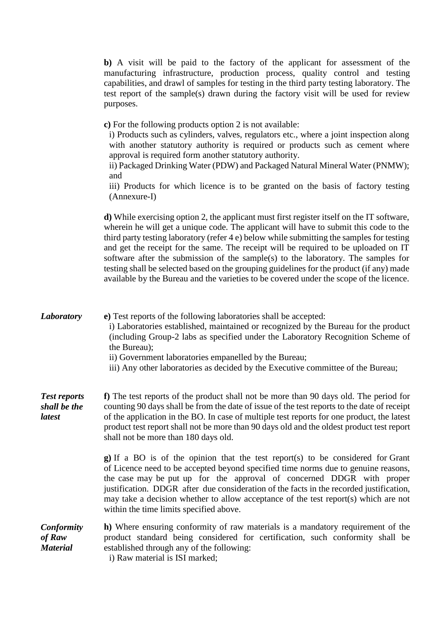|                                                | b) A visit will be paid to the factory of the applicant for assessment of the<br>manufacturing infrastructure, production process, quality control and testing<br>capabilities, and drawl of samples for testing in the third party testing laboratory. The<br>test report of the sample(s) drawn during the factory visit will be used for review<br>purposes.                                                                                                                                                                                                                                                                                     |
|------------------------------------------------|-----------------------------------------------------------------------------------------------------------------------------------------------------------------------------------------------------------------------------------------------------------------------------------------------------------------------------------------------------------------------------------------------------------------------------------------------------------------------------------------------------------------------------------------------------------------------------------------------------------------------------------------------------|
|                                                | c) For the following products option 2 is not available:<br>i) Products such as cylinders, valves, regulators etc., where a joint inspection along<br>with another statutory authority is required or products such as cement where<br>approval is required form another statutory authority.<br>ii) Packaged Drinking Water (PDW) and Packaged Natural Mineral Water (PNMW);<br>and<br>iii) Products for which licence is to be granted on the basis of factory testing<br>(Annexure-I)                                                                                                                                                            |
|                                                | d) While exercising option 2, the applicant must first register itself on the IT software,<br>wherein he will get a unique code. The applicant will have to submit this code to the<br>third party testing laboratory (refer 4 e) below while submitting the samples for testing<br>and get the receipt for the same. The receipt will be required to be uploaded on IT<br>software after the submission of the sample(s) to the laboratory. The samples for<br>testing shall be selected based on the grouping guidelines for the product (if any) made<br>available by the Bureau and the varieties to be covered under the scope of the licence. |
| <b>Laboratory</b>                              | e) Test reports of the following laboratories shall be accepted:<br>i) Laboratories established, maintained or recognized by the Bureau for the product<br>(including Group-2 labs as specified under the Laboratory Recognition Scheme of<br>the Bureau);<br>ii) Government laboratories empanelled by the Bureau;<br>iii) Any other laboratories as decided by the Executive committee of the Bureau;                                                                                                                                                                                                                                             |
| <b>Test reports</b><br>shall be the<br>latest  | f) The test reports of the product shall not be more than 90 days old. The period for<br>counting 90 days shall be from the date of issue of the test reports to the date of receipt<br>of the application in the BO. In case of multiple test reports for one product, the latest<br>product test report shall not be more than 90 days old and the oldest product test report<br>shall not be more than 180 days old.                                                                                                                                                                                                                             |
|                                                | <b>g</b> ) If a BO is of the opinion that the test report(s) to be considered for Grant<br>of Licence need to be accepted beyond specified time norms due to genuine reasons,<br>the case may be put up for the approval of concerned DDGR with proper<br>justification. DDGR after due consideration of the facts in the recorded justification,<br>may take a decision whether to allow acceptance of the test report(s) which are not<br>within the time limits specified above.                                                                                                                                                                 |
| <b>Conformity</b><br>of Raw<br><b>Material</b> | h) Where ensuring conformity of raw materials is a mandatory requirement of the<br>product standard being considered for certification, such conformity shall be<br>established through any of the following:<br>i) Raw material is ISI marked;                                                                                                                                                                                                                                                                                                                                                                                                     |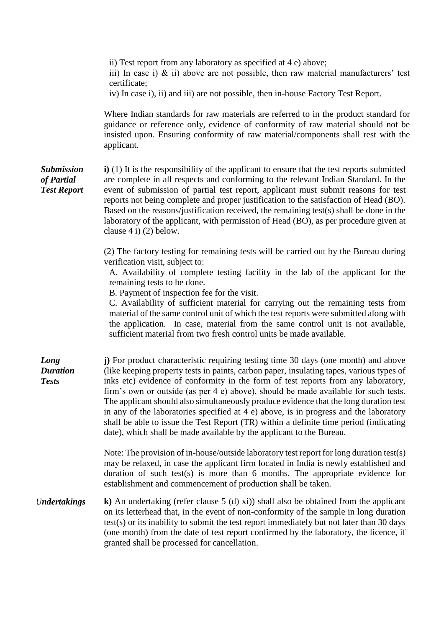ii) Test report from any laboratory as specified at 4 e) above; iii) In case i)  $\&$  ii) above are not possible, then raw material manufacturers' test certificate; iv) In case i), ii) and iii) are not possible, then in-house Factory Test Report. Where Indian standards for raw materials are referred to in the product standard for guidance or reference only, evidence of conformity of raw material should not be insisted upon. Ensuring conformity of raw material/components shall rest with the applicant. *Submission of Partial Test Report* **i)** (1) It is the responsibility of the applicant to ensure that the test reports submitted are complete in all respects and conforming to the relevant Indian Standard. In the event of submission of partial test report, applicant must submit reasons for test reports not being complete and proper justification to the satisfaction of Head (BO). Based on the reasons/justification received, the remaining test(s) shall be done in the laboratory of the applicant, with permission of Head (BO), as per procedure given at clause 4 i) (2) below. (2) The factory testing for remaining tests will be carried out by the Bureau during verification visit, subject to: A. Availability of complete testing facility in the lab of the applicant for the remaining tests to be done. B. Payment of inspection fee for the visit. C. Availability of sufficient material for carrying out the remaining tests from material of the same control unit of which the test reports were submitted along with the application. In case, material from the same control unit is not available, sufficient material from two fresh control units be made available. *Long Duration Tests* **j)** For product characteristic requiring testing time 30 days (one month) and above (like keeping property tests in paints, carbon paper, insulating tapes, various types of inks etc) evidence of conformity in the form of test reports from any laboratory, firm's own or outside (as per 4 e) above), should be made available for such tests. The applicant should also simultaneously produce evidence that the long duration test in any of the laboratories specified at 4 e) above, is in progress and the laboratory shall be able to issue the Test Report (TR) within a definite time period (indicating date), which shall be made available by the applicant to the Bureau. Note: The provision of in-house/outside laboratory test report for long duration test(s) may be relaxed, in case the applicant firm located in India is newly established and duration of such test(s) is more than 6 months. The appropriate evidence for establishment and commencement of production shall be taken. *Undertakings* **k**) An undertaking (refer clause 5 (d) xi)) shall also be obtained from the applicant on its letterhead that, in the event of non-conformity of the sample in long duration test(s) or its inability to submit the test report immediately but not later than 30 days (one month) from the date of test report confirmed by the laboratory, the licence, if granted shall be processed for cancellation.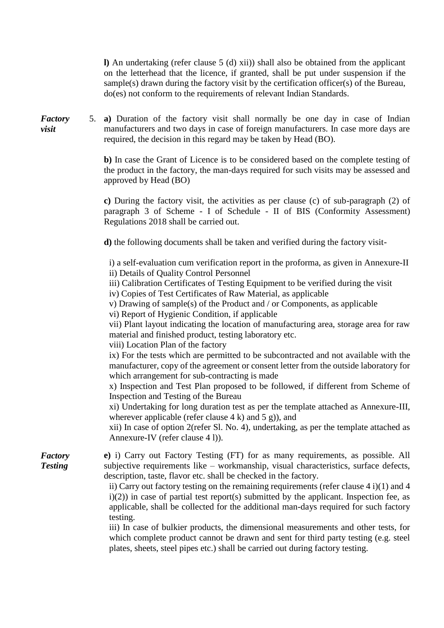**l)** An undertaking (refer clause 5 (d) xii)) shall also be obtained from the applicant on the letterhead that the licence, if granted, shall be put under suspension if the sample(s) drawn during the factory visit by the certification officer(s) of the Bureau, do(es) not conform to the requirements of relevant Indian Standards.

*Factory*  5. **a)** Duration of the factory visit shall normally be one day in case of Indian manufacturers and two days in case of foreign manufacturers. In case more days are required, the decision in this regard may be taken by Head (BO).

> **b)** In case the Grant of Licence is to be considered based on the complete testing of the product in the factory, the man-days required for such visits may be assessed and approved by Head (BO)

> **c)** During the factory visit, the activities as per clause (c) of sub-paragraph (2) of paragraph 3 of Scheme - I of Schedule - II of BIS (Conformity Assessment) Regulations 2018 shall be carried out.

**d)** the following documents shall be taken and verified during the factory visit-

i) a self-evaluation cum verification report in the proforma, as given in Annexure-II ii) Details of Quality Control Personnel

iii) Calibration Certificates of Testing Equipment to be verified during the visit

iv) Copies of Test Certificates of Raw Material, as applicable

v) Drawing of sample(s) of the Product and / or Components, as applicable

vi) Report of Hygienic Condition, if applicable

vii) Plant layout indicating the location of manufacturing area, storage area for raw material and finished product, testing laboratory etc.

viii) Location Plan of the factory

ix) For the tests which are permitted to be subcontracted and not available with the manufacturer, copy of the agreement or consent letter from the outside laboratory for which arrangement for sub-contracting is made

x) Inspection and Test Plan proposed to be followed, if different from Scheme of Inspection and Testing of the Bureau

xi) Undertaking for long duration test as per the template attached as Annexure-III, wherever applicable (refer clause  $4 \text{ k}$ ) and  $5 \text{ g}$ )), and

xii) In case of option 2(refer Sl. No. 4), undertaking, as per the template attached as Annexure-IV (refer clause 4 l)).

*Testing* **e)** i) Carry out Factory Testing (FT) for as many requirements, as possible. All subjective requirements like – workmanship, visual characteristics, surface defects, description, taste, flavor etc. shall be checked in the factory.

> ii) Carry out factory testing on the remaining requirements (refer clause 4 i)(1) and 4  $i(2)$ ) in case of partial test report(s) submitted by the applicant. Inspection fee, as applicable, shall be collected for the additional man-days required for such factory testing.

> iii) In case of bulkier products, the dimensional measurements and other tests, for which complete product cannot be drawn and sent for third party testing (e.g. steel plates, sheets, steel pipes etc.) shall be carried out during factory testing.

*visit*

*Factory*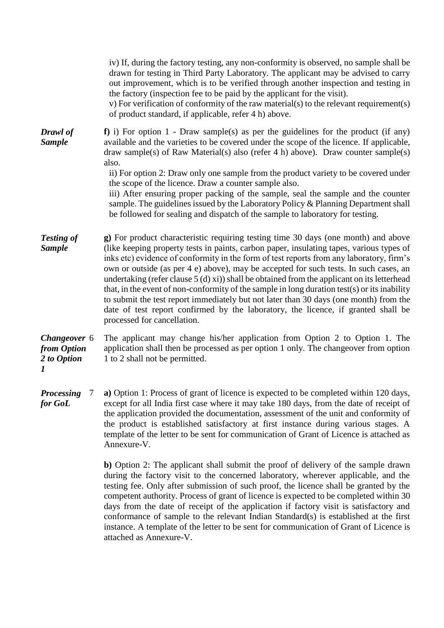|                                                                | iv) If, during the factory testing, any non-conformity is observed, no sample shall be<br>drawn for testing in Third Party Laboratory. The applicant may be advised to carry<br>out improvement, which is to be verified through another inspection and testing in<br>the factory (inspection fee to be paid by the applicant for the visit).<br>v) For verification of conformity of the raw material(s) to the relevant requirement(s)<br>of product standard, if applicable, refer 4 h) above.                                                                                                                                                                                                                                                                                |  |
|----------------------------------------------------------------|----------------------------------------------------------------------------------------------------------------------------------------------------------------------------------------------------------------------------------------------------------------------------------------------------------------------------------------------------------------------------------------------------------------------------------------------------------------------------------------------------------------------------------------------------------------------------------------------------------------------------------------------------------------------------------------------------------------------------------------------------------------------------------|--|
| Drawl of<br><b>Sample</b>                                      | $f$ ) i) For option 1 - Draw sample(s) as per the guidelines for the product (if any)<br>available and the varieties to be covered under the scope of the licence. If applicable,<br>draw sample(s) of Raw Material(s) also (refer 4 h) above). Draw counter sample(s)<br>also.<br>ii) For option 2: Draw only one sample from the product variety to be covered under<br>the scope of the licence. Draw a counter sample also.<br>iii) After ensuring proper packing of the sample, seal the sample and the counter<br>sample. The guidelines issued by the Laboratory Policy & Planning Department shall<br>be followed for sealing and dispatch of the sample to laboratory for testing.                                                                                      |  |
| <b>Testing of</b><br><b>Sample</b>                             | g) For product characteristic requiring testing time 30 days (one month) and above<br>(like keeping property tests in paints, carbon paper, insulating tapes, various types of<br>inks etc) evidence of conformity in the form of test reports from any laboratory, firm's<br>own or outside (as per 4 e) above), may be accepted for such tests. In such cases, an<br>undertaking (refer clause $5(d)$ xi)) shall be obtained from the applicant on its letterhead<br>that, in the event of non-conformity of the sample in long duration test(s) or its inability<br>to submit the test report immediately but not later than 30 days (one month) from the<br>date of test report confirmed by the laboratory, the licence, if granted shall be<br>processed for cancellation. |  |
| Changeover 6<br>from Option<br>2 to Option<br>$\boldsymbol{l}$ | The applicant may change his/her application from Option 2 to Option 1. The<br>application shall then be processed as per option 1 only. The changeover from option<br>1 to 2 shall not be permitted.                                                                                                                                                                                                                                                                                                                                                                                                                                                                                                                                                                            |  |
| <b>Processing</b><br>7<br>for GoL                              | a) Option 1: Process of grant of licence is expected to be completed within 120 days,<br>except for all India first case where it may take 180 days, from the date of receipt of<br>the application provided the documentation, assessment of the unit and conformity of<br>the product is established satisfactory at first instance during various stages. A<br>template of the letter to be sent for communication of Grant of Licence is attached as<br>Annexure-V.                                                                                                                                                                                                                                                                                                          |  |

**b)** Option 2: The applicant shall submit the proof of delivery of the sample drawn during the factory visit to the concerned laboratory, wherever applicable, and the testing fee. Only after submission of such proof, the licence shall be granted by the competent authority. Process of grant of licence is expected to be completed within 30 days from the date of receipt of the application if factory visit is satisfactory and conformance of sample to the relevant Indian Standard(s) is established at the first instance. A template of the letter to be sent for communication of Grant of Licence is attached as Annexure-V.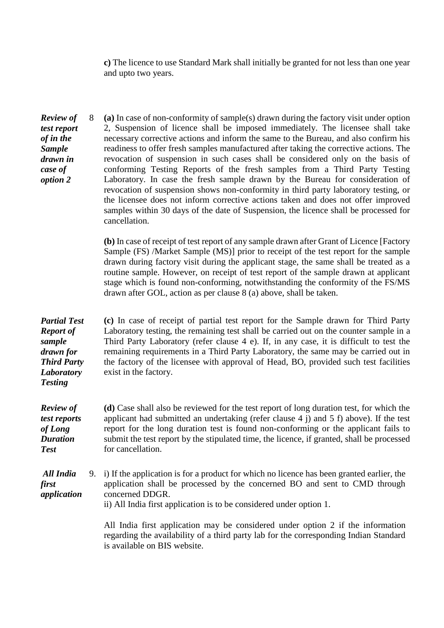**c)** The licence to use Standard Mark shall initially be granted for not less than one year and upto two years.

*Review of test report of in the Sample drawn in case of option 2* 8 **(a)** In case of non-conformity of sample(s) drawn during the factory visit under option 2, Suspension of licence shall be imposed immediately. The licensee shall take necessary corrective actions and inform the same to the Bureau, and also confirm his readiness to offer fresh samples manufactured after taking the corrective actions. The revocation of suspension in such cases shall be considered only on the basis of conforming Testing Reports of the fresh samples from a Third Party Testing Laboratory. In case the fresh sample drawn by the Bureau for consideration of revocation of suspension shows non-conformity in third party laboratory testing, or the licensee does not inform corrective actions taken and does not offer improved samples within 30 days of the date of Suspension, the licence shall be processed for cancellation.

> **(b)** In case of receipt of test report of any sample drawn after Grant of Licence [Factory Sample (FS) /Market Sample (MS)] prior to receipt of the test report for the sample drawn during factory visit during the applicant stage, the same shall be treated as a routine sample. However, on receipt of test report of the sample drawn at applicant stage which is found non-conforming, notwithstanding the conformity of the FS/MS drawn after GOL, action as per clause 8 (a) above, shall be taken.

*Partial Test Report of sample drawn for Third Party Laboratory Testing* **(c)** In case of receipt of partial test report for the Sample drawn for Third Party Laboratory testing, the remaining test shall be carried out on the counter sample in a Third Party Laboratory (refer clause 4 e). If, in any case, it is difficult to test the remaining requirements in a Third Party Laboratory, the same may be carried out in the factory of the licensee with approval of Head, BO, provided such test facilities exist in the factory.

*Review of test reports of Long Duration Test* **(d)** Case shall also be reviewed for the test report of long duration test, for which the applicant had submitted an undertaking (refer clause 4 j) and 5 f) above). If the test report for the long duration test is found non-conforming or the applicant fails to submit the test report by the stipulated time, the licence, if granted, shall be processed for cancellation.

*All India first application* 9. i) If the application is for a product for which no licence has been granted earlier, the application shall be processed by the concerned BO and sent to CMD through concerned DDGR.

ii) All India first application is to be considered under option 1.

All India first application may be considered under option 2 if the information regarding the availability of a third party lab for the corresponding Indian Standard is available on BIS website.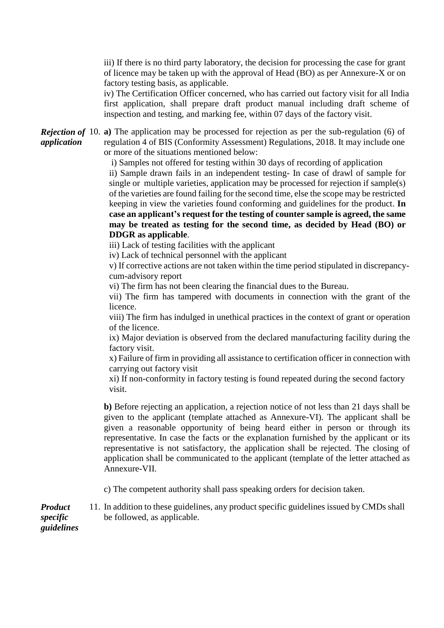iii) If there is no third party laboratory, the decision for processing the case for grant of licence may be taken up with the approval of Head (BO) as per Annexure-X or on factory testing basis, as applicable.

iv) The Certification Officer concerned, who has carried out factory visit for all India first application, shall prepare draft product manual including draft scheme of inspection and testing, and marking fee, within 07 days of the factory visit.

**Rejection of** 10. **a**) The application may be processed for rejection as per the sub-regulation (6) of *application* regulation 4 of BIS (Conformity Assessment) Regulations, 2018. It may include one or more of the situations mentioned below:

i) Samples not offered for testing within 30 days of recording of application

ii) Sample drawn fails in an independent testing- In case of drawl of sample for single or multiple varieties, application may be processed for rejection if sample(s) of the varieties are found failing for the second time, else the scope may be restricted keeping in view the varieties found conforming and guidelines for the product. **In case an applicant's request for the testing of counter sample is agreed, the same may be treated as testing for the second time, as decided by Head (BO) or DDGR as applicable**.

iii) Lack of testing facilities with the applicant

iv) Lack of technical personnel with the applicant

v) If corrective actions are not taken within the time period stipulated in discrepancycum-advisory report

vi) The firm has not been clearing the financial dues to the Bureau.

vii) The firm has tampered with documents in connection with the grant of the licence.

viii) The firm has indulged in unethical practices in the context of grant or operation of the licence.

ix) Major deviation is observed from the declared manufacturing facility during the factory visit.

x) Failure of firm in providing all assistance to certification officer in connection with carrying out factory visit

xi) If non-conformity in factory testing is found repeated during the second factory visit.

**b)** Before rejecting an application, a rejection notice of not less than 21 days shall be given to the applicant (template attached as Annexure-VI). The applicant shall be given a reasonable opportunity of being heard either in person or through its representative. In case the facts or the explanation furnished by the applicant or its representative is not satisfactory, the application shall be rejected. The closing of application shall be communicated to the applicant (template of the letter attached as Annexure-VII.

c) The competent authority shall pass speaking orders for decision taken.

*Product*  11. In addition to these guidelines, any product specific guidelines issued by CMDs shall be followed, as applicable.

*specific guidelines*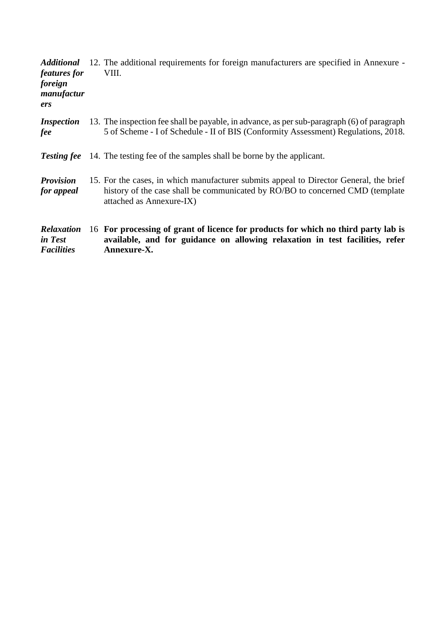| <b>Additional</b><br><i>features for</i><br>foreign<br>manufactur<br>ers | 12. The additional requirements for foreign manufacturers are specified in Annexure -<br>VIII.                                                                                                      |
|--------------------------------------------------------------------------|-----------------------------------------------------------------------------------------------------------------------------------------------------------------------------------------------------|
| <i>Inspection</i><br>fee                                                 | 13. The inspection fee shall be payable, in advance, as per sub-paragraph (6) of paragraph<br>5 of Scheme - I of Schedule - II of BIS (Conformity Assessment) Regulations, 2018.                    |
| <b>Testing fee</b>                                                       | 14. The testing fee of the samples shall be borne by the applicant.                                                                                                                                 |
| <b>Provision</b><br>for appeal                                           | 15. For the cases, in which manufacturer submits appeal to Director General, the brief<br>history of the case shall be communicated by RO/BO to concerned CMD (template<br>attached as Annexure-IX) |
| <b>Relaxation</b><br>in Test<br><b>Facilities</b>                        | 16 For processing of grant of licence for products for which no third party lab is<br>available, and for guidance on allowing relaxation in test facilities, refer<br>Annexure-X.                   |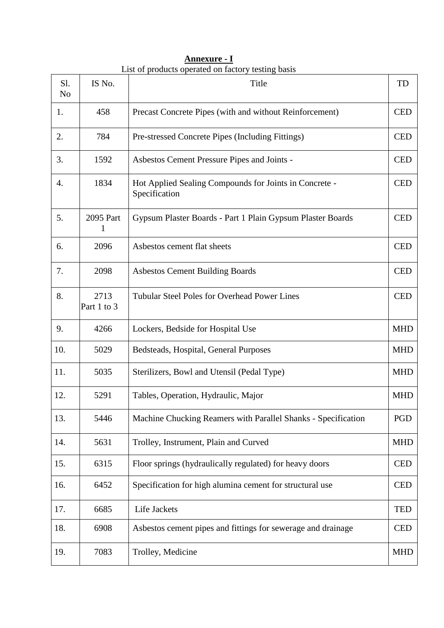| Sl.<br>N <sub>o</sub> | IS No.              | Title                                                                   |            |
|-----------------------|---------------------|-------------------------------------------------------------------------|------------|
| 1.                    | 458                 | Precast Concrete Pipes (with and without Reinforcement)                 |            |
| 2.                    | 784                 | Pre-stressed Concrete Pipes (Including Fittings)                        | <b>CED</b> |
| 3.                    | 1592                | Asbestos Cement Pressure Pipes and Joints -                             | <b>CED</b> |
| 4.                    | 1834                | Hot Applied Sealing Compounds for Joints in Concrete -<br>Specification | <b>CED</b> |
| 5.                    | 2095 Part<br>1      | Gypsum Plaster Boards - Part 1 Plain Gypsum Plaster Boards              | <b>CED</b> |
| 6.                    | 2096                | Asbestos cement flat sheets                                             | <b>CED</b> |
| 7.                    | 2098                | <b>Asbestos Cement Building Boards</b>                                  | <b>CED</b> |
| 8.                    | 2713<br>Part 1 to 3 | <b>Tubular Steel Poles for Overhead Power Lines</b>                     |            |
| 9.                    | 4266                | Lockers, Bedside for Hospital Use                                       | <b>MHD</b> |
| 10.                   | 5029                | Bedsteads, Hospital, General Purposes                                   | <b>MHD</b> |
| 11.                   | 5035                | Sterilizers, Bowl and Utensil (Pedal Type)                              |            |
| 12.                   | 5291                | Tables, Operation, Hydraulic, Major                                     | <b>MHD</b> |
| 13.                   | 5446                | Machine Chucking Reamers with Parallel Shanks - Specification           | PGD        |
| 14.                   | 5631                | Trolley, Instrument, Plain and Curved                                   | <b>MHD</b> |
| 15.                   | 6315                | Floor springs (hydraulically regulated) for heavy doors                 |            |
| 16.                   | 6452                | Specification for high alumina cement for structural use                |            |
| 17.                   | 6685                | Life Jackets                                                            | <b>TED</b> |
| 18.                   | 6908                | Asbestos cement pipes and fittings for sewerage and drainage            |            |
| 19.                   | 7083                | Trolley, Medicine                                                       | <b>MHD</b> |

**Annexure - I** List of products operated on factory testing basis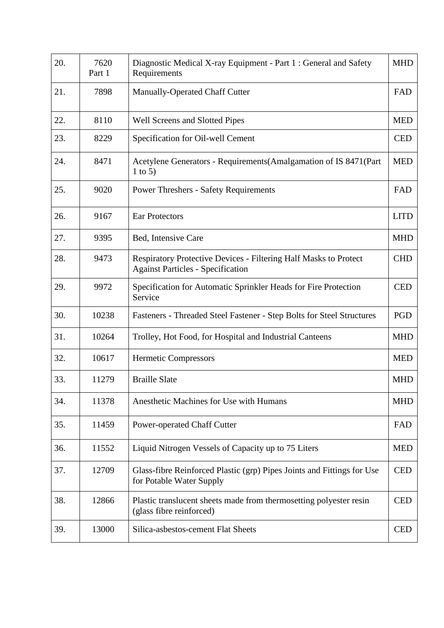| 20. | 7620<br>Part 1 | Diagnostic Medical X-ray Equipment - Part 1 : General and Safety<br><b>MHD</b><br>Requirements               |             |
|-----|----------------|--------------------------------------------------------------------------------------------------------------|-------------|
| 21. | 7898           | Manually-Operated Chaff Cutter<br>FAD                                                                        |             |
| 22. | 8110           | Well Screens and Slotted Pipes                                                                               | <b>MED</b>  |
| 23. | 8229           | Specification for Oil-well Cement                                                                            | <b>CED</b>  |
| 24. | 8471           | Acetylene Generators - Requirements (Amalgamation of IS 8471 (Part<br>1 to 5)                                | <b>MED</b>  |
| 25. | 9020           | <b>Power Threshers - Safety Requirements</b>                                                                 | FAD         |
| 26. | 9167           | <b>Ear Protectors</b>                                                                                        | <b>LITD</b> |
| 27. | 9395           | Bed, Intensive Care                                                                                          | <b>MHD</b>  |
| 28. | 9473           | Respiratory Protective Devices - Filtering Half Masks to Protect<br><b>Against Particles - Specification</b> | <b>CHD</b>  |
| 29. | 9972           | Specification for Automatic Sprinkler Heads for Fire Protection<br>Service                                   |             |
| 30. | 10238          | Fasteners - Threaded Steel Fastener - Step Bolts for Steel Structures                                        | PGD         |
| 31. | 10264          | Trolley, Hot Food, for Hospital and Industrial Canteens                                                      | <b>MHD</b>  |
| 32. | 10617          | Hermetic Compressors                                                                                         | <b>MED</b>  |
| 33. | 11279          | <b>Braille Slate</b>                                                                                         | <b>MHD</b>  |
| 34. | 11378          | Anesthetic Machines for Use with Humans                                                                      | <b>MHD</b>  |
| 35. | 11459          | <b>Power-operated Chaff Cutter</b>                                                                           | FAD         |
| 36. | 11552          | Liquid Nitrogen Vessels of Capacity up to 75 Liters                                                          |             |
| 37. | 12709          | Glass-fibre Reinforced Plastic (grp) Pipes Joints and Fittings for Use<br>for Potable Water Supply           |             |
| 38. | 12866          | Plastic translucent sheets made from thermosetting polyester resin<br>(glass fibre reinforced)               |             |
| 39. | 13000          | Silica-asbestos-cement Flat Sheets                                                                           | <b>CED</b>  |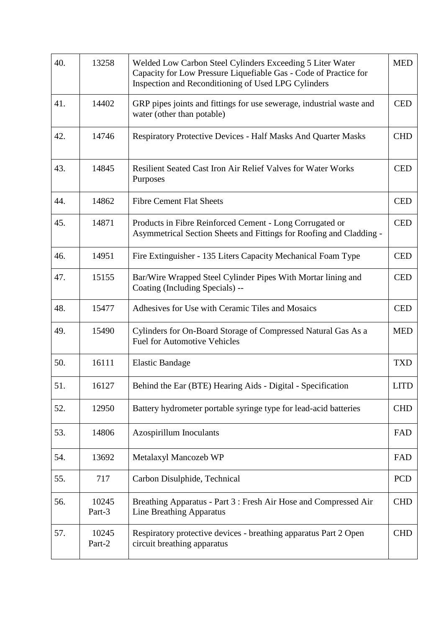| 40. | 13258           | <b>MED</b><br>Welded Low Carbon Steel Cylinders Exceeding 5 Liter Water<br>Capacity for Low Pressure Liquefiable Gas - Code of Practice for<br>Inspection and Reconditioning of Used LPG Cylinders |             |
|-----|-----------------|----------------------------------------------------------------------------------------------------------------------------------------------------------------------------------------------------|-------------|
| 41. | 14402           | GRP pipes joints and fittings for use sewerage, industrial waste and<br>water (other than potable)                                                                                                 | <b>CED</b>  |
| 42. | 14746           | <b>Respiratory Protective Devices - Half Masks And Quarter Masks</b>                                                                                                                               | <b>CHD</b>  |
| 43. | 14845           | <b>Resilient Seated Cast Iron Air Relief Valves for Water Works</b><br>Purposes                                                                                                                    | <b>CED</b>  |
| 44. | 14862           | <b>Fibre Cement Flat Sheets</b>                                                                                                                                                                    | <b>CED</b>  |
| 45. | 14871           | Products in Fibre Reinforced Cement - Long Corrugated or<br>Asymmetrical Section Sheets and Fittings for Roofing and Cladding -                                                                    | <b>CED</b>  |
| 46. | 14951           | Fire Extinguisher - 135 Liters Capacity Mechanical Foam Type                                                                                                                                       | <b>CED</b>  |
| 47. | 15155           | Bar/Wire Wrapped Steel Cylinder Pipes With Mortar lining and<br>Coating (Including Specials) --                                                                                                    |             |
| 48. | 15477           | Adhesives for Use with Ceramic Tiles and Mosaics                                                                                                                                                   |             |
| 49. | 15490           | Cylinders for On-Board Storage of Compressed Natural Gas As a<br><b>Fuel for Automotive Vehicles</b>                                                                                               |             |
| 50. | 16111           | <b>Elastic Bandage</b>                                                                                                                                                                             | <b>TXD</b>  |
| 51. | 16127           | Behind the Ear (BTE) Hearing Aids - Digital - Specification                                                                                                                                        | <b>LITD</b> |
| 52. | 12950           | Battery hydrometer portable syringe type for lead-acid batteries                                                                                                                                   | <b>CHD</b>  |
| 53. | 14806           | Azospirillum Inoculants                                                                                                                                                                            | FAD         |
| 54. | 13692           | Metalaxyl Mancozeb WP                                                                                                                                                                              |             |
| 55. | 717             | Carbon Disulphide, Technical                                                                                                                                                                       |             |
| 56. | 10245<br>Part-3 | Breathing Apparatus - Part 3 : Fresh Air Hose and Compressed Air<br><b>Line Breathing Apparatus</b>                                                                                                |             |
| 57. | 10245<br>Part-2 | Respiratory protective devices - breathing apparatus Part 2 Open<br>circuit breathing apparatus                                                                                                    | <b>CHD</b>  |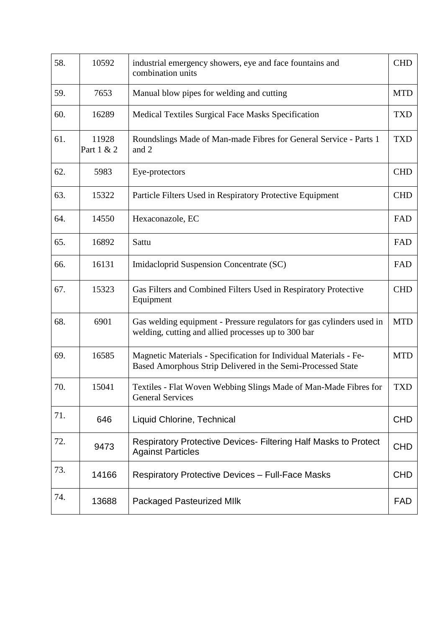| 58. | 10592               | <b>CHD</b><br>industrial emergency showers, eye and face fountains and<br>combination units                                      |            |  |
|-----|---------------------|----------------------------------------------------------------------------------------------------------------------------------|------------|--|
| 59. | 7653                | <b>MTD</b><br>Manual blow pipes for welding and cutting                                                                          |            |  |
| 60. | 16289               | Medical Textiles Surgical Face Masks Specification                                                                               | <b>TXD</b> |  |
| 61. | 11928<br>Part 1 & 2 | Roundslings Made of Man-made Fibres for General Service - Parts 1<br>and 2                                                       | <b>TXD</b> |  |
| 62. | 5983                | Eye-protectors                                                                                                                   | <b>CHD</b> |  |
| 63. | 15322               | Particle Filters Used in Respiratory Protective Equipment                                                                        | <b>CHD</b> |  |
| 64. | 14550               | Hexaconazole, EC                                                                                                                 | FAD        |  |
| 65. | 16892               | Sattu                                                                                                                            | FAD        |  |
| 66. | 16131               | Imidacloprid Suspension Concentrate (SC)                                                                                         |            |  |
| 67. | 15323               | Gas Filters and Combined Filters Used in Respiratory Protective<br>Equipment                                                     |            |  |
| 68. | 6901                | Gas welding equipment - Pressure regulators for gas cylinders used in<br>welding, cutting and allied processes up to 300 bar     |            |  |
| 69. | 16585               | Magnetic Materials - Specification for Individual Materials - Fe-<br>Based Amorphous Strip Delivered in the Semi-Processed State | <b>MTD</b> |  |
| 70. | 15041               | Textiles - Flat Woven Webbing Slings Made of Man-Made Fibres for<br><b>General Services</b>                                      | TXD        |  |
| 71. | 646                 | Liquid Chlorine, Technical                                                                                                       |            |  |
| 72. | 9473                | <b>Respiratory Protective Devices- Filtering Half Masks to Protect</b><br><b>Against Particles</b>                               |            |  |
| 73. | 14166               | <b>Respiratory Protective Devices - Full-Face Masks</b>                                                                          |            |  |
| 74. | 13688               | <b>FAD</b><br><b>Packaged Pasteurized MIIk</b>                                                                                   |            |  |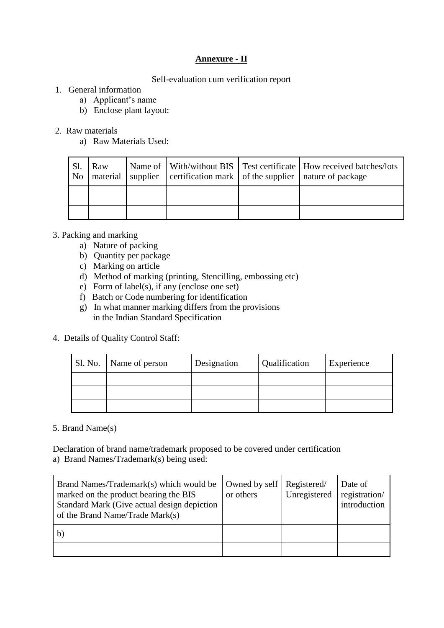# **Annexure - II**

## Self-evaluation cum verification report

# 1. General information

- a) Applicant's name
- b) Enclose plant layout:

## 2. Raw materials

a) Raw Materials Used:

| Sl.<br>No | Raw | material   supplier   certification mark   of the supplier   nature of package | Name of   With/without BIS   Test certificate   How received batches/lots |
|-----------|-----|--------------------------------------------------------------------------------|---------------------------------------------------------------------------|
|           |     |                                                                                |                                                                           |
|           |     |                                                                                |                                                                           |

# 3. Packing and marking

- a) Nature of packing
- b) Quantity per package
- c) Marking on article
- d) Method of marking (printing, Stencilling, embossing etc)
- e) Form of label(s), if any (enclose one set)
- f) Batch or Code numbering for identification
- g) In what manner marking differs from the provisions in the Indian Standard Specification
- 4. Details of Quality Control Staff:

| Sl. No. | Name of person | Designation | Qualification | Experience |
|---------|----------------|-------------|---------------|------------|
|         |                |             |               |            |
|         |                |             |               |            |
|         |                |             |               |            |

#### 5. Brand Name(s)

Declaration of brand name/trademark proposed to be covered under certification a) Brand Names/Trademark(s) being used:

| Brand Names/Trademark(s) which would be<br>marked on the product bearing the BIS<br>Standard Mark (Give actual design depiction<br>of the Brand Name/Trade Mark(s) | Owned by self   Registered/<br>or others | Unregistered | Date of<br>registration/<br>introduction |
|--------------------------------------------------------------------------------------------------------------------------------------------------------------------|------------------------------------------|--------------|------------------------------------------|
| b                                                                                                                                                                  |                                          |              |                                          |
|                                                                                                                                                                    |                                          |              |                                          |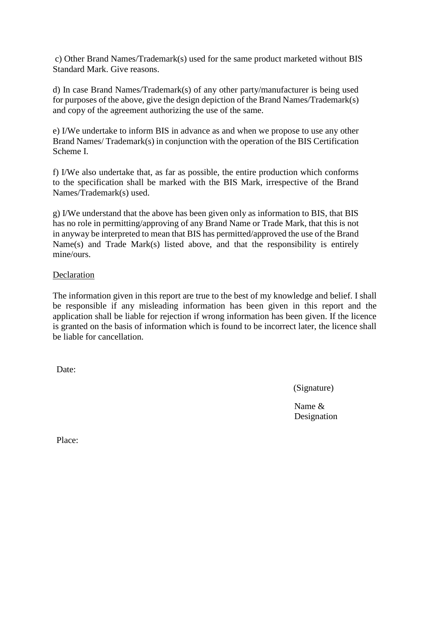c) Other Brand Names/Trademark(s) used for the same product marketed without BIS Standard Mark. Give reasons.

d) In case Brand Names/Trademark(s) of any other party/manufacturer is being used for purposes of the above, give the design depiction of the Brand Names/Trademark(s) and copy of the agreement authorizing the use of the same.

e) I/We undertake to inform BIS in advance as and when we propose to use any other Brand Names/ Trademark(s) in conjunction with the operation of the BIS Certification Scheme I.

f) I/We also undertake that, as far as possible, the entire production which conforms to the specification shall be marked with the BIS Mark, irrespective of the Brand Names/Trademark(s) used.

g) I/We understand that the above has been given only as information to BIS, that BIS has no role in permitting/approving of any Brand Name or Trade Mark, that this is not in anyway be interpreted to mean that BIS has permitted/approved the use of the Brand Name(s) and Trade Mark(s) listed above, and that the responsibility is entirely mine/ours.

#### Declaration

The information given in this report are true to the best of my knowledge and belief. I shall be responsible if any misleading information has been given in this report and the application shall be liable for rejection if wrong information has been given. If the licence is granted on the basis of information which is found to be incorrect later, the licence shall be liable for cancellation.

Date:

(Signature)

Name & Designation

Place: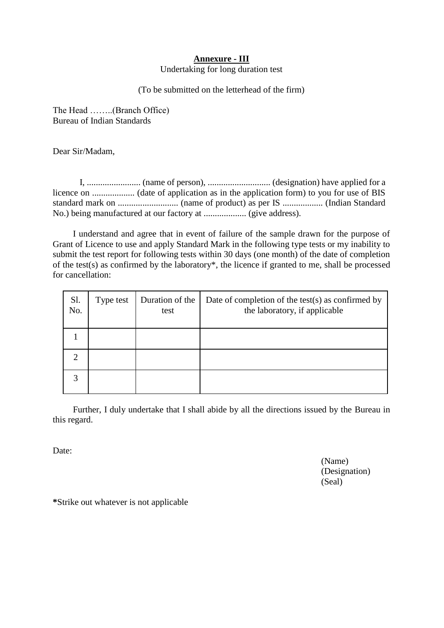#### **Annexure - III**

Undertaking for long duration test

(To be submitted on the letterhead of the firm)

The Head ……..(Branch Office) Bureau of Indian Standards

Dear Sir/Madam,

 I, ........................ (name of person), ............................ (designation) have applied for a licence on ................... (date of application as in the application form) to you for use of BIS standard mark on ........................... (name of product) as per IS .................. (Indian Standard No.) being manufactured at our factory at ................... (give address).

I understand and agree that in event of failure of the sample drawn for the purpose of Grant of Licence to use and apply Standard Mark in the following type tests or my inability to submit the test report for following tests within 30 days (one month) of the date of completion of the test(s) as confirmed by the laboratory\*, the licence if granted to me, shall be processed for cancellation:

| Sl.<br>No. | Type test | Duration of the<br>test | Date of completion of the test $(s)$ as confirmed by<br>the laboratory, if applicable |
|------------|-----------|-------------------------|---------------------------------------------------------------------------------------|
|            |           |                         |                                                                                       |
|            |           |                         |                                                                                       |
|            |           |                         |                                                                                       |

Further, I duly undertake that I shall abide by all the directions issued by the Bureau in this regard.

Date<sup>.</sup>

(Name) (Designation) (Seal)

**\***Strike out whatever is not applicable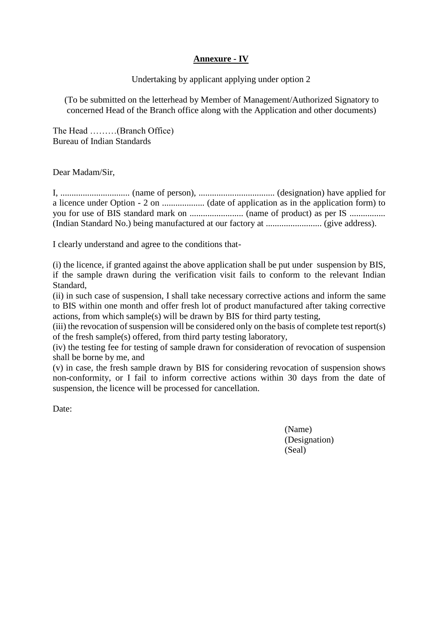# **Annexure - IV**

Undertaking by applicant applying under option 2

(To be submitted on the letterhead by Member of Management/Authorized Signatory to concerned Head of the Branch office along with the Application and other documents)

The Head ………(Branch Office) Bureau of Indian Standards

Dear Madam/Sir,

I, ............................... (name of person), .................................. (designation) have applied for a licence under Option - 2 on ................... (date of application as in the application form) to you for use of BIS standard mark on ........................ (name of product) as per IS ................ (Indian Standard No.) being manufactured at our factory at ......................... (give address).

I clearly understand and agree to the conditions that-

(i) the licence, if granted against the above application shall be put under suspension by BIS, if the sample drawn during the verification visit fails to conform to the relevant Indian Standard,

(ii) in such case of suspension, I shall take necessary corrective actions and inform the same to BIS within one month and offer fresh lot of product manufactured after taking corrective actions, from which sample(s) will be drawn by BIS for third party testing,

(iii) the revocation of suspension will be considered only on the basis of complete test report(s) of the fresh sample(s) offered, from third party testing laboratory,

(iv) the testing fee for testing of sample drawn for consideration of revocation of suspension shall be borne by me, and

(v) in case, the fresh sample drawn by BIS for considering revocation of suspension shows non-conformity, or I fail to inform corrective actions within 30 days from the date of suspension, the licence will be processed for cancellation.

Date<sup>.</sup>

(Name) (Designation) (Seal)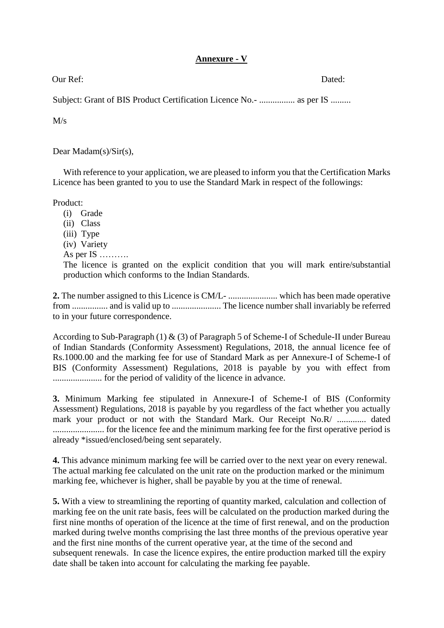# **Annexure - V**

Our Ref: Dated:

Subject: Grant of BIS Product Certification Licence No.- ................... as per IS .........

M/s

Dear Madam(s)/Sir(s),

With reference to your application, we are pleased to inform you that the Certification Marks Licence has been granted to you to use the Standard Mark in respect of the followings:

Product:

- (i) Grade
- (ii) Class
- (iii) Type
- (iv) Variety
- As per IS ……….

The licence is granted on the explicit condition that you will mark entire/substantial production which conforms to the Indian Standards.

**2.** The number assigned to this Licence is CM/L- ...................... which has been made operative from ................ and is valid up to ...................... The licence number shall invariably be referred to in your future correspondence.

According to Sub-Paragraph (1)  $\&$  (3) of Paragraph 5 of Scheme-I of Schedule-II under Bureau of Indian Standards (Conformity Assessment) Regulations, 2018, the annual licence fee of Rs.1000.00 and the marking fee for use of Standard Mark as per Annexure-I of Scheme-I of BIS (Conformity Assessment) Regulations, 2018 is payable by you with effect from ...................... for the period of validity of the licence in advance.

**3.** Minimum Marking fee stipulated in Annexure-I of Scheme-I of BIS (Conformity Assessment) Regulations, 2018 is payable by you regardless of the fact whether you actually mark your product or not with the Standard Mark. Our Receipt No.R/ ............. dated ....................... for the licence fee and the minimum marking fee for the first operative period is already \*issued/enclosed/being sent separately.

**4.** This advance minimum marking fee will be carried over to the next year on every renewal. The actual marking fee calculated on the unit rate on the production marked or the minimum marking fee, whichever is higher, shall be payable by you at the time of renewal.

**5.** With a view to streamlining the reporting of quantity marked, calculation and collection of marking fee on the unit rate basis, fees will be calculated on the production marked during the first nine months of operation of the licence at the time of first renewal, and on the production marked during twelve months comprising the last three months of the previous operative year and the first nine months of the current operative year, at the time of the second and subsequent renewals. In case the licence expires, the entire production marked till the expiry date shall be taken into account for calculating the marking fee payable.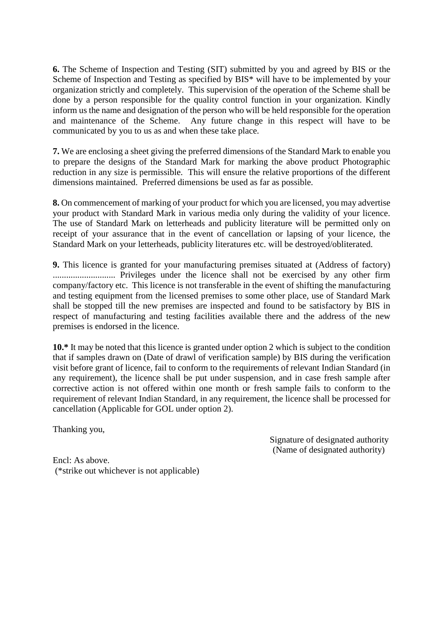**6.** The Scheme of Inspection and Testing (SIT) submitted by you and agreed by BIS or the Scheme of Inspection and Testing as specified by BIS\* will have to be implemented by your organization strictly and completely. This supervision of the operation of the Scheme shall be done by a person responsible for the quality control function in your organization. Kindly inform us the name and designation of the person who will be held responsible for the operation and maintenance of the Scheme. Any future change in this respect will have to be communicated by you to us as and when these take place.

**7.** We are enclosing a sheet giving the preferred dimensions of the Standard Mark to enable you to prepare the designs of the Standard Mark for marking the above product Photographic reduction in any size is permissible. This will ensure the relative proportions of the different dimensions maintained. Preferred dimensions be used as far as possible.

**8.** On commencement of marking of your product for which you are licensed, you may advertise your product with Standard Mark in various media only during the validity of your licence. The use of Standard Mark on letterheads and publicity literature will be permitted only on receipt of your assurance that in the event of cancellation or lapsing of your licence, the Standard Mark on your letterheads, publicity literatures etc. will be destroyed/obliterated.

**9.** This licence is granted for your manufacturing premises situated at (Address of factory) ............................ Privileges under the licence shall not be exercised by any other firm company/factory etc. This licence is not transferable in the event of shifting the manufacturing and testing equipment from the licensed premises to some other place, use of Standard Mark shall be stopped till the new premises are inspected and found to be satisfactory by BIS in respect of manufacturing and testing facilities available there and the address of the new premises is endorsed in the licence.

**10.\*** It may be noted that this licence is granted under option 2 which is subject to the condition that if samples drawn on (Date of drawl of verification sample) by BIS during the verification visit before grant of licence, fail to conform to the requirements of relevant Indian Standard (in any requirement), the licence shall be put under suspension, and in case fresh sample after corrective action is not offered within one month or fresh sample fails to conform to the requirement of relevant Indian Standard, in any requirement, the licence shall be processed for cancellation (Applicable for GOL under option 2).

Thanking you,

 Signature of designated authority (Name of designated authority)

Encl: As above. (\*strike out whichever is not applicable)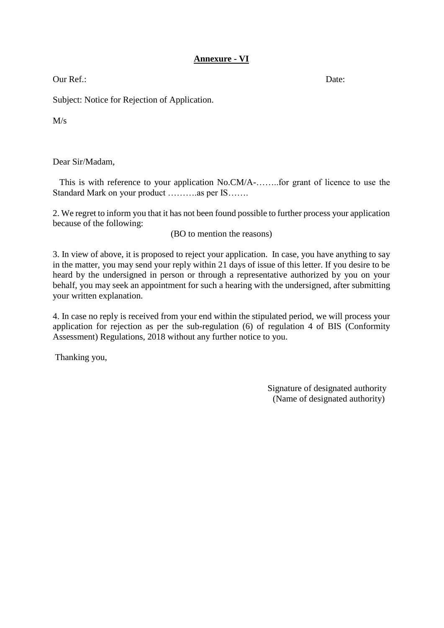# **Annexure - VI**

Our Ref.: Date:

Subject: Notice for Rejection of Application.

M/s

Dear Sir/Madam,

 This is with reference to your application No.CM/A-……..for grant of licence to use the Standard Mark on your product ………..as per IS…….

2. We regret to inform you that it has not been found possible to further process your application because of the following:

(BO to mention the reasons)

3. In view of above, it is proposed to reject your application. In case, you have anything to say in the matter, you may send your reply within 21 days of issue of this letter. If you desire to be heard by the undersigned in person or through a representative authorized by you on your behalf, you may seek an appointment for such a hearing with the undersigned, after submitting your written explanation.

4. In case no reply is received from your end within the stipulated period, we will process your application for rejection as per the sub-regulation (6) of regulation 4 of BIS (Conformity Assessment) Regulations, 2018 without any further notice to you.

Thanking you,

 Signature of designated authority (Name of designated authority)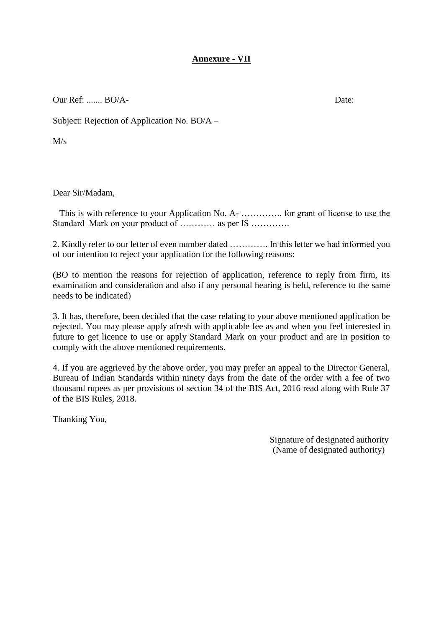# **Annexure - VII**

Our Ref: ....... BO/A- Date:

Subject: Rejection of Application No. BO/A –

 $M/s$ 

Dear Sir/Madam,

 This is with reference to your Application No. A- ………….. for grant of license to use the Standard Mark on your product of ………… as per IS ………….

2. Kindly refer to our letter of even number dated …………. In this letter we had informed you of our intention to reject your application for the following reasons:

(BO to mention the reasons for rejection of application, reference to reply from firm, its examination and consideration and also if any personal hearing is held, reference to the same needs to be indicated)

3. It has, therefore, been decided that the case relating to your above mentioned application be rejected. You may please apply afresh with applicable fee as and when you feel interested in future to get licence to use or apply Standard Mark on your product and are in position to comply with the above mentioned requirements.

4. If you are aggrieved by the above order, you may prefer an appeal to the Director General, Bureau of Indian Standards within ninety days from the date of the order with a fee of two thousand rupees as per provisions of section 34 of the BIS Act, 2016 read along with Rule 37 of the BIS Rules, 2018.

Thanking You,

 Signature of designated authority (Name of designated authority)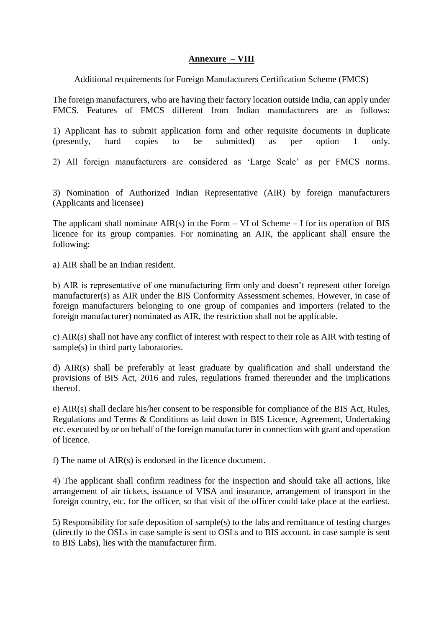## **Annexure – VIII**

Additional requirements for Foreign Manufacturers Certification Scheme (FMCS)

The foreign manufacturers, who are having their factory location outside India, can apply under FMCS. Features of FMCS different from Indian manufacturers are as follows:

1) Applicant has to submit application form and other requisite documents in duplicate (presently, hard copies to be submitted) as per option 1 only.

2) All foreign manufacturers are considered as 'Large Scale' as per FMCS norms.

3) Nomination of Authorized Indian Representative (AIR) by foreign manufacturers (Applicants and licensee)

The applicant shall nominate  $AIR(s)$  in the Form – VI of Scheme – I for its operation of BIS licence for its group companies. For nominating an AIR, the applicant shall ensure the following:

a) AIR shall be an Indian resident.

b) AIR is representative of one manufacturing firm only and doesn't represent other foreign manufacturer(s) as AIR under the BIS Conformity Assessment schemes. However, in case of foreign manufacturers belonging to one group of companies and importers (related to the foreign manufacturer) nominated as AIR, the restriction shall not be applicable.

c) AIR(s) shall not have any conflict of interest with respect to their role as AIR with testing of sample(s) in third party laboratories.

d) AIR(s) shall be preferably at least graduate by qualification and shall understand the provisions of BIS Act, 2016 and rules, regulations framed thereunder and the implications thereof.

e) AIR(s) shall declare his/her consent to be responsible for compliance of the BIS Act, Rules, Regulations and Terms & Conditions as laid down in BIS Licence, Agreement, Undertaking etc. executed by or on behalf of the foreign manufacturer in connection with grant and operation of licence.

f) The name of AIR(s) is endorsed in the licence document.

4) The applicant shall confirm readiness for the inspection and should take all actions, like arrangement of air tickets, issuance of VISA and insurance, arrangement of transport in the foreign country, etc. for the officer, so that visit of the officer could take place at the earliest.

5) Responsibility for safe deposition of sample(s) to the labs and remittance of testing charges (directly to the OSLs in case sample is sent to OSLs and to BIS account. in case sample is sent to BIS Labs), lies with the manufacturer firm.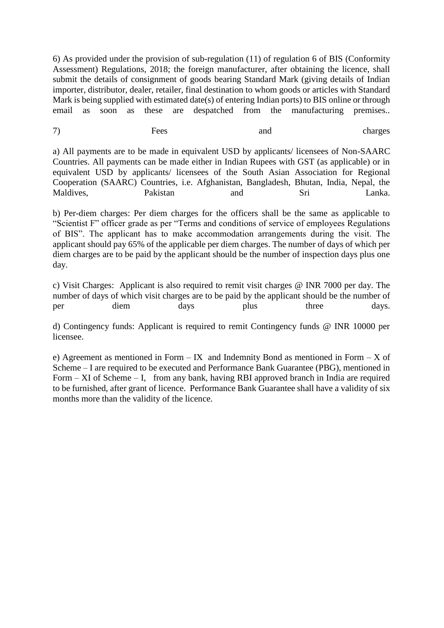6) As provided under the provision of sub-regulation (11) of regulation 6 of BIS (Conformity Assessment) Regulations, 2018; the foreign manufacturer, after obtaining the licence, shall submit the details of consignment of goods bearing Standard Mark (giving details of Indian importer, distributor, dealer, retailer, final destination to whom goods or articles with Standard Mark is being supplied with estimated date(s) of entering Indian ports) to BIS online or through email as soon as these are despatched from the manufacturing premises..

7) Fees and charges

a) All payments are to be made in equivalent USD by applicants/ licensees of Non-SAARC Countries. All payments can be made either in Indian Rupees with GST (as applicable) or in equivalent USD by applicants/ licensees of the South Asian Association for Regional Cooperation (SAARC) Countries, i.e. Afghanistan, Bangladesh, Bhutan, India, Nepal, the Maldives, Pakistan and Sri Lanka.

b) Per-diem charges: Per diem charges for the officers shall be the same as applicable to "Scientist F" officer grade as per "Terms and conditions of service of employees Regulations of BIS". The applicant has to make accommodation arrangements during the visit. The applicant should pay 65% of the applicable per diem charges. The number of days of which per diem charges are to be paid by the applicant should be the number of inspection days plus one day.

c) Visit Charges: Applicant is also required to remit visit charges @ INR 7000 per day. The number of days of which visit charges are to be paid by the applicant should be the number of per diem days plus three days.

d) Contingency funds: Applicant is required to remit Contingency funds @ INR 10000 per licensee.

e) Agreement as mentioned in Form – IX and Indemnity Bond as mentioned in Form – X of Scheme – I are required to be executed and Performance Bank Guarantee (PBG), mentioned in Form – XI of Scheme – I, from any bank, having RBI approved branch in India are required to be furnished, after grant of licence. Performance Bank Guarantee shall have a validity of six months more than the validity of the licence.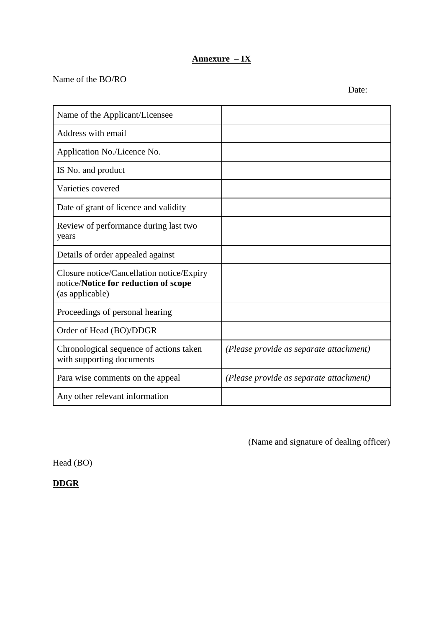# **Annexure – IX**

# Name of the BO/RO

Name of the Applicant/Licensee Address with email Application No./Licence No. IS No. and product Varieties covered Date of grant of licence and validity Review of performance during last two years Details of order appealed against Closure notice/Cancellation notice/Expiry notice/**Notice for reduction of scope** (as applicable) Proceedings of personal hearing Order of Head (BO)/DDGR Chronological sequence of actions taken with supporting documents *(Please provide as separate attachment)* Para wise comments on the appeal *(Please provide as separate attachment)* Any other relevant information

(Name and signature of dealing officer)

Head (BO)

**DDGR**

Date: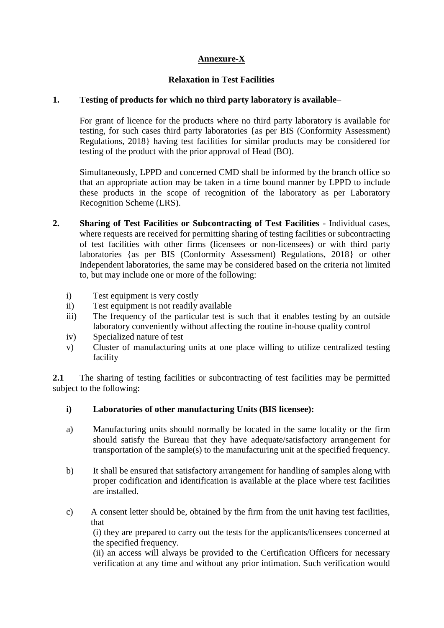# **Annexure-X**

# **Relaxation in Test Facilities**

## **1. Testing of products for which no third party laboratory is available**–

For grant of licence for the products where no third party laboratory is available for testing, for such cases third party laboratories {as per BIS (Conformity Assessment) Regulations, 2018} having test facilities for similar products may be considered for testing of the product with the prior approval of Head (BO).

Simultaneously, LPPD and concerned CMD shall be informed by the branch office so that an appropriate action may be taken in a time bound manner by LPPD to include these products in the scope of recognition of the laboratory as per Laboratory Recognition Scheme (LRS).

- **2. Sharing of Test Facilities or Subcontracting of Test Facilities**  Individual cases, where requests are received for permitting sharing of testing facilities or subcontracting of test facilities with other firms (licensees or non-licensees) or with third party laboratories {as per BIS (Conformity Assessment) Regulations, 2018} or other Independent laboratories, the same may be considered based on the criteria not limited to, but may include one or more of the following:
	- i) Test equipment is very costly
	- ii) Test equipment is not readily available
	- iii) The frequency of the particular test is such that it enables testing by an outside laboratory conveniently without affecting the routine in-house quality control
	- iv) Specialized nature of test
	- v) Cluster of manufacturing units at one place willing to utilize centralized testing facility

2.1 The sharing of testing facilities or subcontracting of test facilities may be permitted subject to the following:

# **i) Laboratories of other manufacturing Units (BIS licensee):**

- a) Manufacturing units should normally be located in the same locality or the firm should satisfy the Bureau that they have adequate/satisfactory arrangement for transportation of the sample(s) to the manufacturing unit at the specified frequency.
- b) It shall be ensured that satisfactory arrangement for handling of samples along with proper codification and identification is available at the place where test facilities are installed.
- c) A consent letter should be, obtained by the firm from the unit having test facilities, that

(i) they are prepared to carry out the tests for the applicants/licensees concerned at the specified frequency.

(ii) an access will always be provided to the Certification Officers for necessary verification at any time and without any prior intimation. Such verification would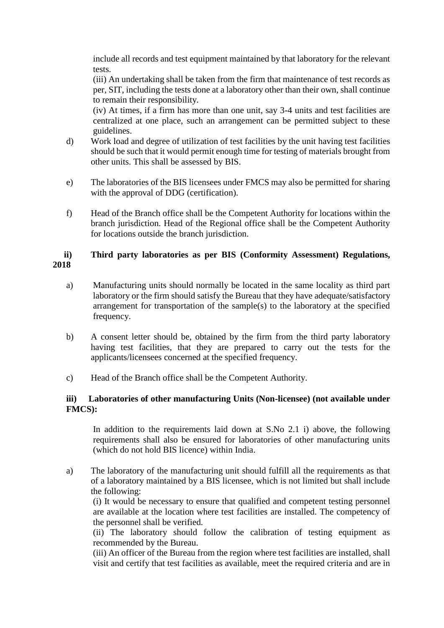include all records and test equipment maintained by that laboratory for the relevant tests.

(iii) An undertaking shall be taken from the firm that maintenance of test records as per, SIT, including the tests done at a laboratory other than their own, shall continue to remain their responsibility.

(iv) At times, if a firm has more than one unit, say 3-4 units and test facilities are centralized at one place, such an arrangement can be permitted subject to these guidelines.

- d) Work load and degree of utilization of test facilities by the unit having test facilities should be such that it would permit enough time for testing of materials brought from other units. This shall be assessed by BIS.
- e) The laboratories of the BIS licensees under FMCS may also be permitted for sharing with the approval of DDG (certification).
- f) Head of the Branch office shall be the Competent Authority for locations within the branch jurisdiction. Head of the Regional office shall be the Competent Authority for locations outside the branch jurisdiction.

# **ii) Third party laboratories as per BIS (Conformity Assessment) Regulations, 2018**

- a) Manufacturing units should normally be located in the same locality as third part laboratory or the firm should satisfy the Bureau that they have adequate/satisfactory arrangement for transportation of the sample(s) to the laboratory at the specified frequency.
- b) A consent letter should be, obtained by the firm from the third party laboratory having test facilities, that they are prepared to carry out the tests for the applicants/licensees concerned at the specified frequency.
- c) Head of the Branch office shall be the Competent Authority.

# **iii) Laboratories of other manufacturing Units (Non-licensee) (not available under FMCS):**

In addition to the requirements laid down at S.No 2.1 i) above, the following requirements shall also be ensured for laboratories of other manufacturing units (which do not hold BIS licence) within India.

a) The laboratory of the manufacturing unit should fulfill all the requirements as that of a laboratory maintained by a BIS licensee, which is not limited but shall include the following:

(i) It would be necessary to ensure that qualified and competent testing personnel are available at the location where test facilities are installed. The competency of the personnel shall be verified.

(ii) The laboratory should follow the calibration of testing equipment as recommended by the Bureau.

(iii) An officer of the Bureau from the region where test facilities are installed, shall visit and certify that test facilities as available, meet the required criteria and are in